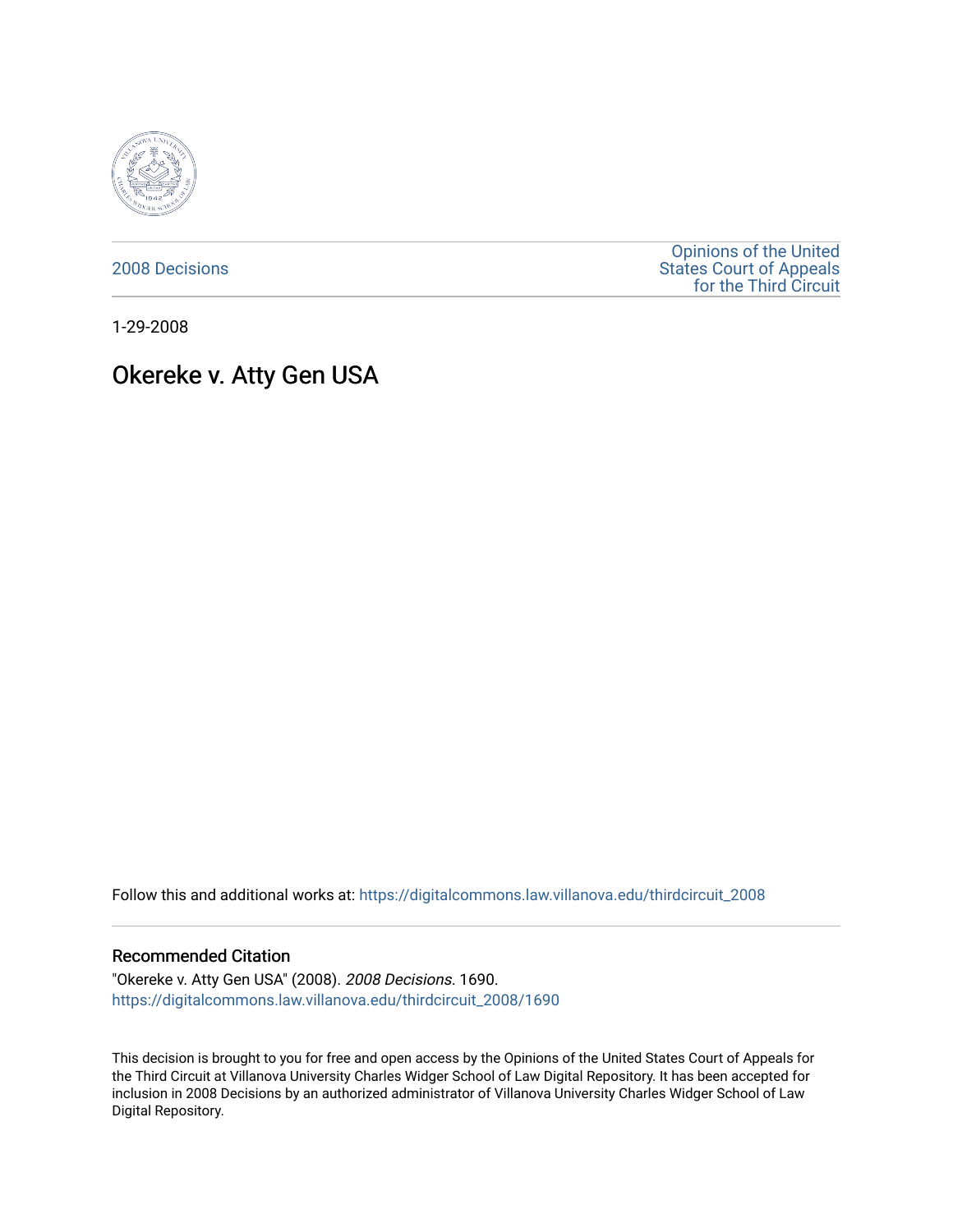

[2008 Decisions](https://digitalcommons.law.villanova.edu/thirdcircuit_2008)

[Opinions of the United](https://digitalcommons.law.villanova.edu/thirdcircuit)  [States Court of Appeals](https://digitalcommons.law.villanova.edu/thirdcircuit)  [for the Third Circuit](https://digitalcommons.law.villanova.edu/thirdcircuit) 

1-29-2008

# Okereke v. Atty Gen USA

Follow this and additional works at: [https://digitalcommons.law.villanova.edu/thirdcircuit\\_2008](https://digitalcommons.law.villanova.edu/thirdcircuit_2008?utm_source=digitalcommons.law.villanova.edu%2Fthirdcircuit_2008%2F1690&utm_medium=PDF&utm_campaign=PDFCoverPages) 

## Recommended Citation

"Okereke v. Atty Gen USA" (2008). 2008 Decisions. 1690. [https://digitalcommons.law.villanova.edu/thirdcircuit\\_2008/1690](https://digitalcommons.law.villanova.edu/thirdcircuit_2008/1690?utm_source=digitalcommons.law.villanova.edu%2Fthirdcircuit_2008%2F1690&utm_medium=PDF&utm_campaign=PDFCoverPages) 

This decision is brought to you for free and open access by the Opinions of the United States Court of Appeals for the Third Circuit at Villanova University Charles Widger School of Law Digital Repository. It has been accepted for inclusion in 2008 Decisions by an authorized administrator of Villanova University Charles Widger School of Law Digital Repository.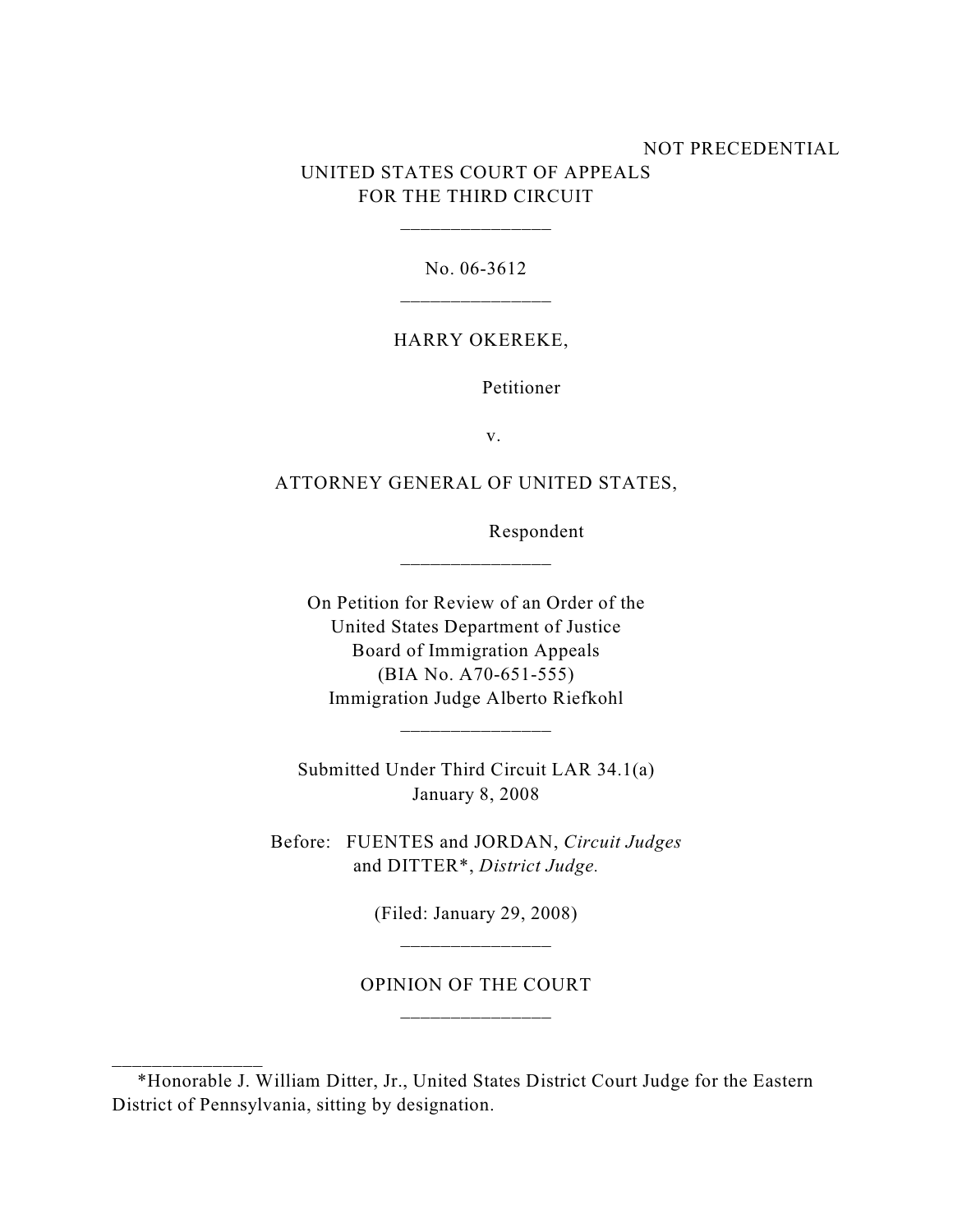# NOT PRECEDENTIAL UNITED STATES COURT OF APPEALS FOR THE THIRD CIRCUIT

No. 06-3612

\_\_\_\_\_\_\_\_\_\_\_\_\_\_\_

### HARRY OKEREKE,

Petitioner

v.

## ATTORNEY GENERAL OF UNITED STATES,

\_\_\_\_\_\_\_\_\_\_\_\_\_\_\_

Respondent

On Petition for Review of an Order of the United States Department of Justice Board of Immigration Appeals (BIA No. A70-651-555) Immigration Judge Alberto Riefkohl

Submitted Under Third Circuit LAR 34.1(a) January 8, 2008

\_\_\_\_\_\_\_\_\_\_\_\_\_\_\_

Before: FUENTES and JORDAN, *Circuit Judges* and DITTER\*, *District Judge.*

(Filed: January 29, 2008)

# OPINION OF THE COURT \_\_\_\_\_\_\_\_\_\_\_\_\_\_\_

\_\_\_\_\_\_\_\_\_\_\_\_\_\_\_

 <sup>\*</sup>Honorable J. William Ditter, Jr., United States District Court Judge for the Eastern District of Pennsylvania, sitting by designation.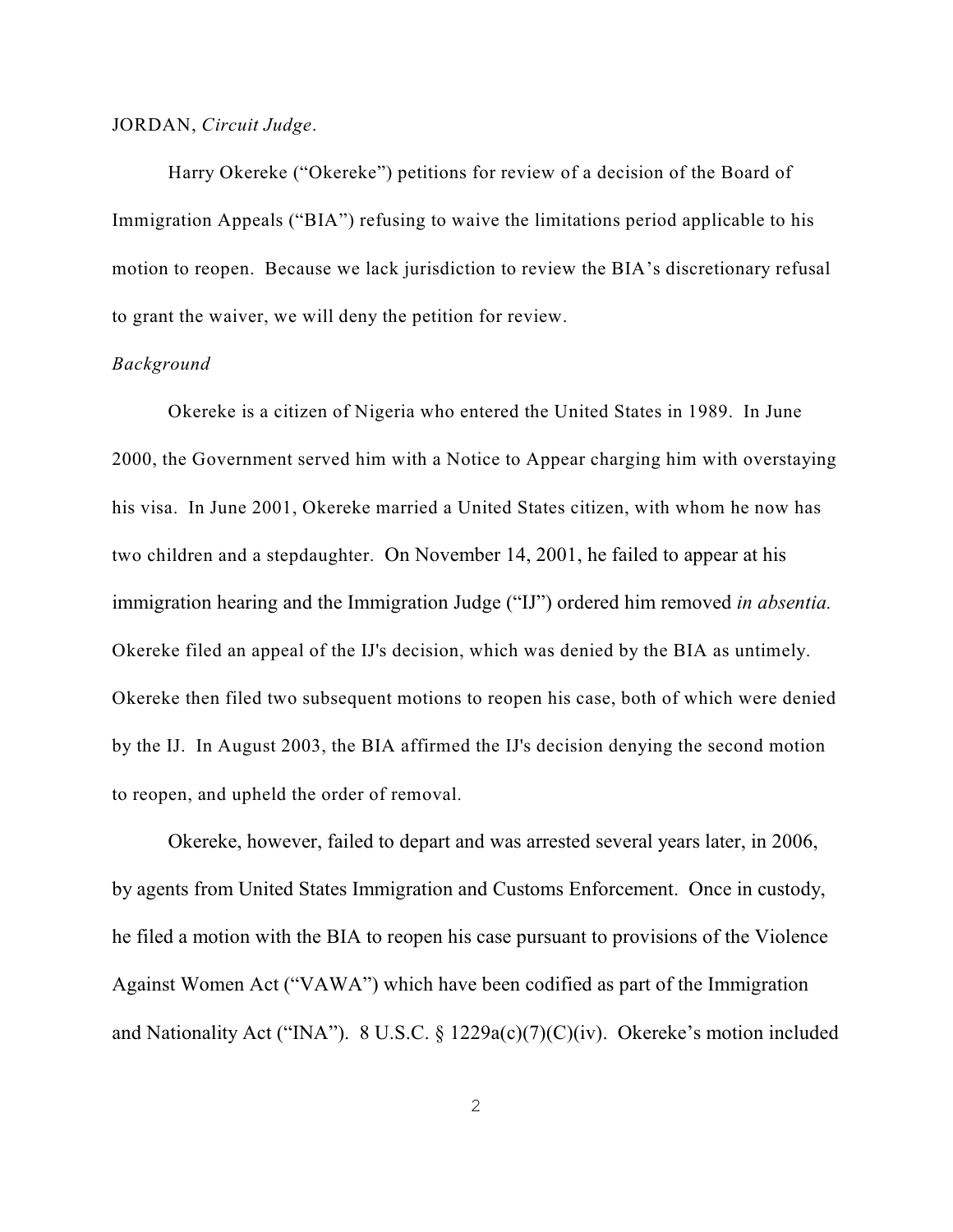#### JORDAN, *Circuit Judge*.

Harry Okereke ("Okereke") petitions for review of a decision of the Board of Immigration Appeals ("BIA") refusing to waive the limitations period applicable to his motion to reopen. Because we lack jurisdiction to review the BIA's discretionary refusal to grant the waiver, we will deny the petition for review.

### *Background*

Okereke is a citizen of Nigeria who entered the United States in 1989. In June 2000, the Government served him with a Notice to Appear charging him with overstaying his visa. In June 2001, Okereke married a United States citizen, with whom he now has two children and a stepdaughter. On November 14, 2001, he failed to appear at his immigration hearing and the Immigration Judge ("IJ") ordered him removed *in absentia.*  Okereke filed an appeal of the IJ's decision, which was denied by the BIA as untimely. Okereke then filed two subsequent motions to reopen his case, both of which were denied by the IJ. In August 2003, the BIA affirmed the IJ's decision denying the second motion to reopen, and upheld the order of removal.

Okereke, however, failed to depart and was arrested several years later, in 2006, by agents from United States Immigration and Customs Enforcement. Once in custody, he filed a motion with the BIA to reopen his case pursuant to provisions of the Violence Against Women Act ("VAWA") which have been codified as part of the Immigration and Nationality Act ("INA"). 8 U.S.C. § 1229a(c)(7)(C)(iv). Okereke's motion included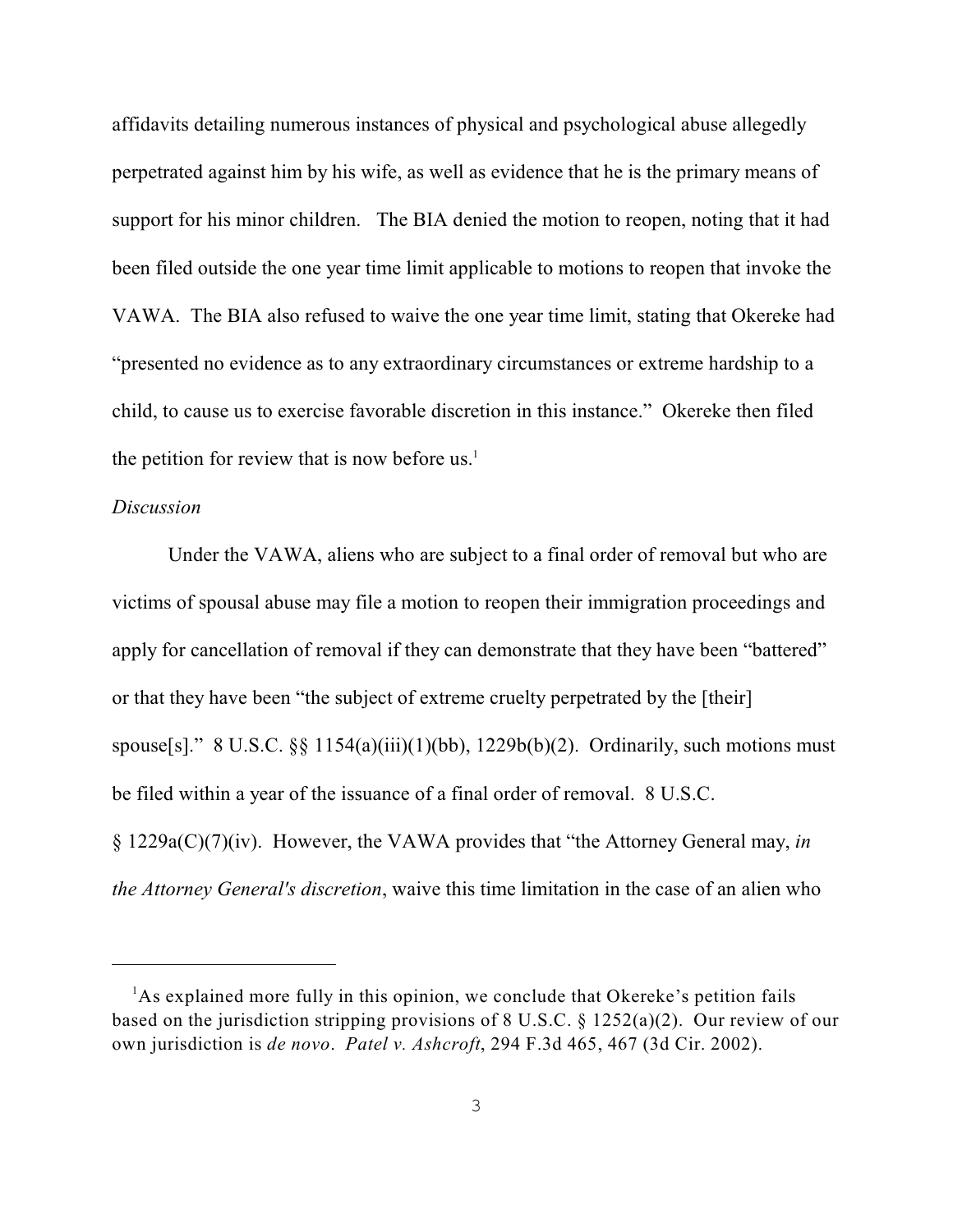affidavits detailing numerous instances of physical and psychological abuse allegedly perpetrated against him by his wife, as well as evidence that he is the primary means of support for his minor children. The BIA denied the motion to reopen, noting that it had been filed outside the one year time limit applicable to motions to reopen that invoke the VAWA. The BIA also refused to waive the one year time limit, stating that Okereke had "presented no evidence as to any extraordinary circumstances or extreme hardship to a child, to cause us to exercise favorable discretion in this instance." Okereke then filed the petition for review that is now before us. $<sup>1</sup>$ </sup>

# *Discussion*

Under the VAWA, aliens who are subject to a final order of removal but who are victims of spousal abuse may file a motion to reopen their immigration proceedings and apply for cancellation of removal if they can demonstrate that they have been "battered" or that they have been "the subject of extreme cruelty perpetrated by the [their] spouse[s]." 8 U.S.C.  $\S$ [ 1154(a)(iii)(1)(bb), 1229b(b)(2). Ordinarily, such motions must be filed within a year of the issuance of a final order of removal. 8 U.S.C. § 1229a(C)(7)(iv). However, the VAWA provides that "the Attorney General may, *in the Attorney General's discretion*, waive this time limitation in the case of an alien who

<sup>&</sup>lt;sup>1</sup>As explained more fully in this opinion, we conclude that Okereke's petition fails based on the jurisdiction stripping provisions of 8 U.S.C. § 1252(a)(2). Our review of our own jurisdiction is *de novo*. *Patel v. Ashcroft*, 294 F.3d 465, 467 (3d Cir. 2002).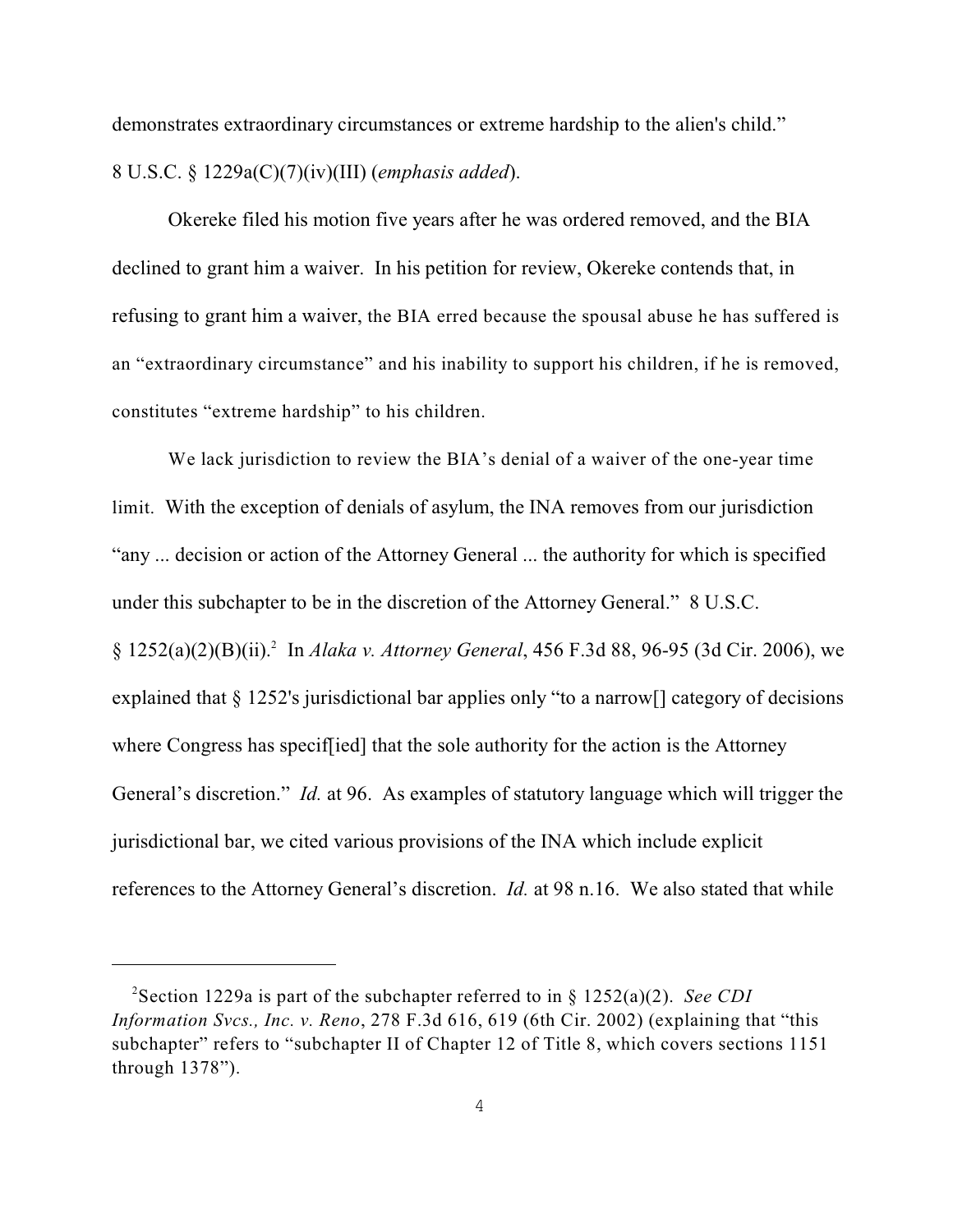demonstrates extraordinary circumstances or extreme hardship to the alien's child." 8 U.S.C. § 1229a(C)(7)(iv)(III) (*emphasis added*).

Okereke filed his motion five years after he was ordered removed, and the BIA declined to grant him a waiver. In his petition for review, Okereke contends that, in refusing to grant him a waiver, the BIA erred because the spousal abuse he has suffered is an "extraordinary circumstance" and his inability to support his children, if he is removed, constitutes "extreme hardship" to his children.

We lack jurisdiction to review the BIA's denial of a waiver of the one-year time limit. With the exception of denials of asylum, the INA removes from our jurisdiction "any ... decision or action of the Attorney General ... the authority for which is specified under this subchapter to be in the discretion of the Attorney General." 8 U.S.C. § 1252(a)(2)(B)(ii). In *Alaka v. Attorney General*, 456 F.3d 88, 96-95 (3d Cir. 2006), we <sup>2</sup> explained that § 1252's jurisdictional bar applies only "to a narrow[] category of decisions where Congress has specif[ied] that the sole authority for the action is the Attorney General's discretion." *Id.* at 96. As examples of statutory language which will trigger the jurisdictional bar, we cited various provisions of the INA which include explicit references to the Attorney General's discretion. *Id.* at 98 n.16. We also stated that while

<sup>&</sup>lt;sup>2</sup>Section 1229a is part of the subchapter referred to in §  $1252(a)(2)$ . *See CDI Information Svcs., Inc. v. Reno*, 278 F.3d 616, 619 (6th Cir. 2002) (explaining that "this subchapter" refers to "subchapter II of Chapter 12 of Title 8, which covers sections 1151 through 1378").